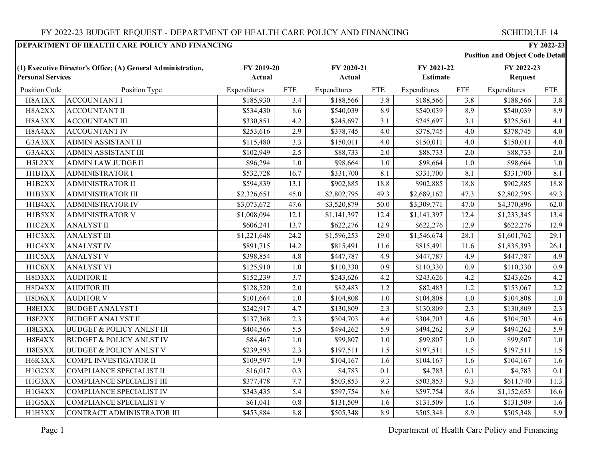|                                                                                          |                                      |                      |            |                      |            |                               |                       | <b>Position and Object Code Detail</b> |            |
|------------------------------------------------------------------------------------------|--------------------------------------|----------------------|------------|----------------------|------------|-------------------------------|-----------------------|----------------------------------------|------------|
| (1) Executive Director's Office; (A) General Administration,<br><b>Personal Services</b> |                                      | FY 2019-20<br>Actual |            | FY 2020-21<br>Actual |            | FY 2021-22<br><b>Estimate</b> | FY 2022-23<br>Request |                                        |            |
| Position Code                                                                            | Position Type                        | Expenditures         | <b>FTE</b> | Expenditures         | <b>FTE</b> | Expenditures                  | <b>FTE</b>            | Expenditures                           | <b>FTE</b> |
| H8A1XX                                                                                   | <b>ACCOUNTANT I</b>                  | \$185,930            | 3.4        | \$188,566            | 3.8        | \$188,566                     | 3.8                   | \$188,566                              | 3.8        |
| H8A2XX                                                                                   | <b>ACCOUNTANT II</b>                 | \$534,430            | 8.6        | \$540,039            | 8.9        | \$540,039                     | 8.9                   | \$540,039                              | 8.9        |
| H8A3XX                                                                                   | <b>ACCOUNTANT III</b>                | \$330,851            | 4.2        | \$245,697            | 3.1        | \$245,697                     | 3.1                   | \$325,861                              | 4.1        |
| H8A4XX                                                                                   | <b>ACCOUNTANT IV</b>                 | \$253,616            | 2.9        | \$378,745            | 4.0        | \$378,745                     | 4.0                   | \$378,745                              | 4.0        |
| G3A3XX                                                                                   | ADMIN ASSISTANT II                   | \$115,480            | 3.3        | \$150,011            | 4.0        | \$150,011                     | 4.0                   | \$150,011                              | 4.0        |
| G3A4XX                                                                                   | <b>ADMIN ASSISTANT III</b>           | \$102,949            | 2.5        | \$88,733             | 2.0        | \$88,733                      | 2.0                   | \$88,733                               | 2.0        |
| H5L2XX                                                                                   | <b>ADMIN LAW JUDGE II</b>            | \$96,294             | $1.0\,$    | \$98,664             | 1.0        | \$98,664                      | 1.0                   | \$98,664                               | 1.0        |
| H1B1XX                                                                                   | <b>ADMINISTRATOR I</b>               | \$532,728            | 16.7       | \$331,700            | 8.1        | \$331,700                     | 8.1                   | \$331,700                              | 8.1        |
| H1B2XX                                                                                   | <b>ADMINISTRATOR II</b>              | \$594,839            | 13.1       | \$902,885            | 18.8       | \$902,885                     | 18.8                  | \$902,885                              | 18.8       |
| H1B3XX                                                                                   | <b>ADMINISTRATOR III</b>             | \$2,326,651          | 45.0       | \$2,802,795          | 49.3       | \$2,689,162                   | 47.3                  | \$2,802,795                            | 49.3       |
| H1B4XX                                                                                   | <b>ADMINISTRATOR IV</b>              | \$3,073,672          | 47.6       | \$3,520,879          | 50.0       | \$3,309,771                   | 47.0                  | \$4,370,896                            | 62.0       |
| H1B5XX                                                                                   | <b>ADMINISTRATOR V</b>               | \$1,008,094          | 12.1       | \$1,141,397          | 12.4       | \$1,141,397                   | 12.4                  | \$1,233,345                            | 13.4       |
| H1C2XX                                                                                   | <b>ANALYST II</b>                    | \$606,241            | 13.7       | \$622,276            | 12.9       | \$622,276                     | 12.9                  | \$622,276                              | 12.9       |
| H1C3XX                                                                                   | <b>ANALYST III</b>                   | \$1,221,648          | 24.2       | \$1,596,253          | 29.0       | \$1,546,674                   | 28.1                  | \$1,601,762                            | 29.1       |
| H1C4XX                                                                                   | <b>ANALYST IV</b>                    | \$891,715            | 14.2       | \$815,491            | 11.6       | \$815,491                     | 11.6                  | \$1,835,393                            | 26.1       |
| H1C5XX                                                                                   | <b>ANALYST V</b>                     | \$398,854            | 4.8        | \$447,787            | 4.9        | \$447,787                     | 4.9                   | \$447,787                              | 4.9        |
| H1C6XX                                                                                   | <b>ANALYST VI</b>                    | \$125,910            | $1.0\,$    | \$110,330            | 0.9        | \$110,330                     | 0.9                   | \$110,330                              | 0.9        |
| H8D3XX                                                                                   | <b>AUDITOR II</b>                    | \$152,239            | 3.7        | \$243,626            | 4.2        | \$243,626                     | 4.2                   | \$243,626                              | 4.2        |
| H8D4XX                                                                                   | <b>AUDITOR III</b>                   | \$128,520            | 2.0        | \$82,483             | 1.2        | \$82,483                      | 1.2                   | \$153,067                              | 2.2        |
| H8D6XX                                                                                   | <b>AUDITOR V</b>                     | \$101,664            | $1.0\,$    | \$104,808            | 1.0        | \$104,808                     | 1.0                   | \$104,808                              | $1.0\,$    |
| H8E1XX                                                                                   | <b>BUDGET ANALYSTI</b>               | \$242,917            | 4.7        | \$130,809            | 2.3        | \$130,809                     | 2.3                   | \$130,809                              | 2.3        |
| H8E2XX                                                                                   | <b>BUDGET ANALYST II</b>             | \$137,368            | 2.3        | \$304,703            | 4.6        | \$304,703                     | 4.6                   | \$304,703                              | 4.6        |
| H8E3XX                                                                                   | <b>BUDGET &amp; POLICY ANLST III</b> | \$404,566            | 5.5        | \$494,262            | 5.9        | \$494,262                     | 5.9                   | \$494,262                              | 5.9        |
| H8E4XX                                                                                   | <b>BUDGET &amp; POLICY ANLST IV</b>  | \$84,467             | $1.0\,$    | \$99,807             | 1.0        | \$99,807                      | 1.0                   | \$99,807                               | 1.0        |
| H8E5XX                                                                                   | <b>BUDGET &amp; POLICY ANLST V</b>   | \$239,593            | 2.3        | \$197,511            | 1.5        | \$197,511                     | 1.5                   | \$197,511                              | 1.5        |
| H6K3XX                                                                                   | COMPL INVESTIGATOR II                | \$109,597            | 1.9        | \$104,167            | 1.6        | \$104,167                     | 1.6                   | \$104,167                              | 1.6        |
| H1G2XX                                                                                   | COMPLIANCE SPECIALIST II             | \$16,017             | 0.3        | \$4,783              | 0.1        | \$4,783                       | 0.1                   | \$4,783                                | 0.1        |
| H1G3XX                                                                                   | COMPLIANCE SPECIALIST III            | \$377,478            | $7.7\,$    | \$503,853            | 9.3        | \$503,853                     | 9.3                   | \$611,740                              | 11.3       |
| H1G4XX                                                                                   | <b>COMPLIANCE SPECIALIST IV</b>      | \$343,435            | 5.4        | \$597,754            | 8.6        | \$597,754                     | 8.6                   | \$1,152,653                            | 16.6       |
| H1G5XX                                                                                   | <b>COMPLIANCE SPECIALIST V</b>       | \$61,041             | 0.8        | \$131,509            | 1.6        | \$131,509                     | 1.6                   | \$131,509                              | 1.6        |
| H1H3XX                                                                                   | CONTRACT ADMINISTRATOR III           | \$453,884            | 8.8        | \$505,348            | 8.9        | \$505,348                     | 8.9                   | \$505,348                              | 8.9        |

Page 1 Department of Health Care Policy and Financing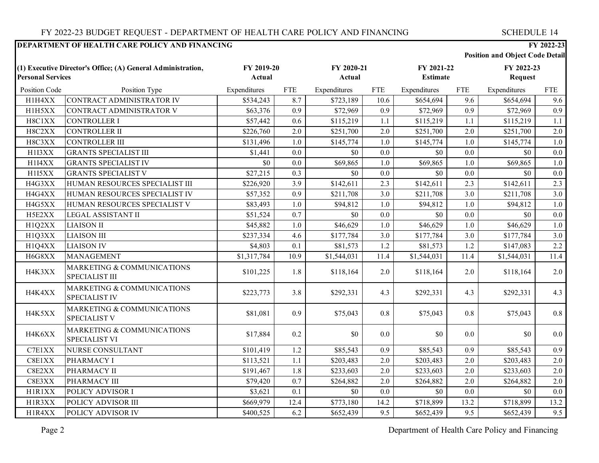#### **Position and Object Code Detail** Position Code Position Type Expenditures FTE Expenditures FTE Expenditures FTE Expenditures FTE **(1) Executive Director's Office; (A) General Administration, Personal Services FY 2019-20 Actual FY 2020-21 Actual FY 2021-22 Estimate FY 2022-23 Request** H1H4XX CONTRACT ADMINISTRATOR IV \$534,243 8.7 \$723,189 10.6 \$654,694 9.6 \$654,694 9.6 H1H5XX CONTRACT ADMINISTRATOR V \$63,376 0.9 \$72,969 0.9 \$72,969 0.9 \$72,969 0.9 H8C1XX CONTROLLER I \$57,442 0.6 \$115,219 1.1 \$115,219 1.1 \$115,219 1.1 H8C2XX CONTROLLER II \$226,760 2.0 \$251,700 2.0 \$251,700 2.0 \$251,700 2.0 H8C3XX CONTROLLER III \$131,496 1.0 \$145,774 1.0 \$145,774 1.0 \$145,774 1.0 H1I3XX GRANTS SPECIALIST III  $\begin{array}{ccc} 1,441 & 0.0 & 0 & 0.0 \\ 0,0 & 0 & 0 & 0.0 \end{array}$   $\begin{array}{ccc} 0.0 & 0 & 0.0 \\ 0.0 & 0 & 0.0 \end{array}$   $\begin{array}{ccc} 0.0 & 0 & 0.0 \\ 0.0 & 0 & 0.0 \end{array}$ H1I4XX GRANTS SPECIALIST IV \$0 0.0 \$69,865 1.0 \$69,865 1.0 \$69,865 1.0 H1I5XX GRANTS SPECIALIST V | \$27,215 0.3 \$0 0.0 \$0 0.0 \$0 0.0 \$0 \$0 0.0 H4G3XX HUMAN RESOURCES SPECIALIST III \$226,920 3.9 \$142,611 2.3 \$142,611 2.3 \$142,611 2.3 H4G4XX HUMAN RESOURCES SPECIALIST IV | \$57,352 | 0.9 | \$211,708 | \$211,708 | \$211,708 | \$211,708 | \$211,708 3.0 H4G5XX HUMAN RESOURCES SPECIALIST V 883.493 | 1.0 \$94.812 | 1.0 \$94.812 | 1.0 \$94.812 1.0 \$94.812 1.0 H5E2XX LEGAL ASSISTANT II \$51,524 0.7 \$0 0.0 \$0 0.0 \$0 0.0 H1Q2XX LIAISON II \$45,882 1.0 \$46,629 1.0 \$46,629 1.0 \$46,629 1.0 H1Q3XX LIAISON III \$237,334 4.6 \$177,784 3.0 \$177,784 3.0 \$177,784 3.0 H1Q4XX LIAISON IV \$4,803 0.1 \$81,573 1.2 \$81,573 1.2 \$147,083 2.2 H6G8XX MANAGEMENT \$1,317,784 10.9 \$1,544,031 11.4 \$1,544,031 11.4 \$1,544,031 11.4 H4K3XX MARKETING & COMMUNICATIONS SPECIALIST III **SPECIALIST III SECONTRANCE AREA SUBACTES** 1.8 **118,164** 2.0 **5118,164** 2.0 **5118,164** 2.0 H4K4XX MARKETING & COMMUNICATIONS SPECIALIST IV **SALUS AND SEPECIALIST IV** 8292,331 **5292**,331 **4.3** \$292,331 **4.3** \$292,331 4.3 H4K5XX MARKETING & COMMUNICATIONS SPECIALIST V **EXAMPLE SPECIALIST V** 881,081 0.9 \$75,043 0.8 \$75,043 0.8 \$75,043 0.8 H4K6XX MARKETING & COMMUNICATIONS SPECIALIST VI  $$17,884$   $$0.2$   $$0.0$   $$0.0$   $$0.0$   $$0.0$   $$0.0$   $$0.0$ C7E1XX NURSE CONSULTANT \$101,419 1.2 \$85,543 0.9 \$85,543 0.9 \$85,543 0.9 C8E1XX PHARMACY I \$113,521 1.1 \$203,483 2.0 \$203,483 2.0 \$203,483 2.0 C8E2XX PHARMACY II \$191,467 1.8 \$233,603 2.0 \$233,603 2.0 \$233,603 2.0 C8E3XX PHARMACY III \$79,420 0.7 \$264,882 2.0 \$264,882 2.0 \$264,882 2.0 H1R1XX POLICY ADVISOR I \$3,621 0.1 \$0 0.0 \$0 0.0 \$0 0.0 \$0 0.0 H1R3XX POLICY ADVISOR III \$669,979 12.4 \$773,180 14.2 \$718,899 13.2 \$718,899 13.2 H1R4XX POLICY ADVISOR IV \$400,525 6.2 \$652,439 9.5 \$652,439 9.5 \$652,439 9.5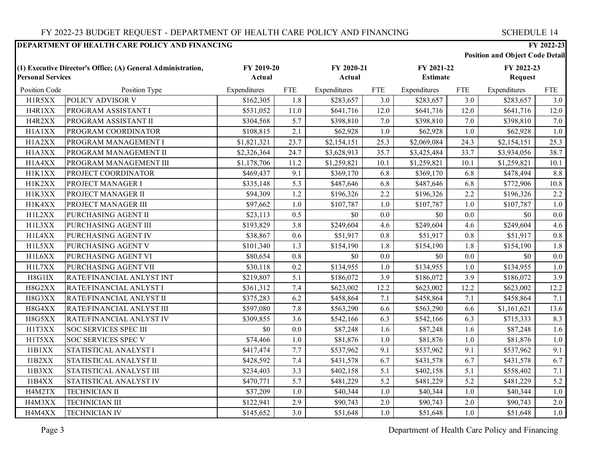**Position and Object Code Detail**

| (1) Executive Director's Office; (A) General Administration,<br><b>Personal Services</b> |                           | FY 2019-20<br>Actual |            | FY 2020-21<br>Actual |            | FY 2021-22<br><b>Estimate</b> |            | FY 2022-23<br><b>Request</b> |            |
|------------------------------------------------------------------------------------------|---------------------------|----------------------|------------|----------------------|------------|-------------------------------|------------|------------------------------|------------|
|                                                                                          |                           |                      |            |                      |            |                               |            |                              |            |
| Position Code                                                                            | Position Type             | Expenditures         | <b>FTE</b> | Expenditures         | <b>FTE</b> | Expenditures                  | <b>FTE</b> | Expenditures                 | <b>FTE</b> |
| H1R5XX                                                                                   | POLICY ADVISOR V          | \$162,305            | 1.8        | \$283,657            | 3.0        | \$283,657                     | 3.0        | \$283,657                    | 3.0        |
| H4R1XX                                                                                   | PROGRAM ASSISTANT I       | \$531,052            | 11.0       | \$641,716            | 12.0       | \$641,716                     | 12.0       | \$641,716                    | 12.0       |
| H4R2XX                                                                                   | PROGRAM ASSISTANT II      | \$304,568            | 5.7        | \$398,810            | 7.0        | \$398,810                     | 7.0        | \$398,810                    | 7.0        |
| H1A1XX                                                                                   | PROGRAM COORDINATOR       | \$108,815            | 2.1        | \$62,928             | 1.0        | \$62,928                      | 1.0        | \$62,928                     | 1.0        |
| H1A2XX                                                                                   | PROGRAM MANAGEMENT I      | \$1,821,321          | 23.7       | \$2,154,151          | 25.3       | \$2,069,084                   | 24.3       | \$2,154,151                  | 25.3       |
| H1A3XX                                                                                   | PROGRAM MANAGEMENT II     | \$2,326,364          | 24.7       | \$3,628,913          | 35.7       | \$3,425,484                   | 33.7       | \$3,934,056                  | 38.7       |
| H1A4XX                                                                                   | PROGRAM MANAGEMENT III    | \$1,178,706          | 11.2       | \$1,259,821          | 10.1       | \$1,259,821                   | 10.1       | \$1,259,821                  | 10.1       |
| H1K1XX                                                                                   | PROJECT COORDINATOR       | \$469,437            | 9.1        | \$369,170            | 6.8        | \$369,170                     | 6.8        | \$478,494                    | 8.8        |
| H1K2XX                                                                                   | PROJECT MANAGER I         | \$335,148            | 5.3        | \$487,646            | 6.8        | \$487,646                     | 6.8        | \$772,906                    | 10.8       |
| H1K3XX                                                                                   | PROJECT MANAGER II        | \$94,309             | 1.2        | \$196,326            | 2.2        | \$196,326                     | 2.2        | \$196,326                    | 2.2        |
| H1K4XX                                                                                   | PROJECT MANAGER III       | \$97,662             | 1.0        | \$107,787            | 1.0        | \$107,787                     | 1.0        | \$107,787                    | 1.0        |
| H1L2XX                                                                                   | PURCHASING AGENT II       | \$23,113             | 0.5        | \$0                  | 0.0        | \$0                           | 0.0        | \$0                          | 0.0        |
| H1L3XX                                                                                   | PURCHASING AGENT III      | \$193,829            | 3.8        | \$249,604            | 4.6        | \$249,604                     | 4.6        | \$249,604                    | 4.6        |
| H1L4XX                                                                                   | PURCHASING AGENT IV       | \$38,867             | 0.6        | \$51,917             | 0.8        | \$51,917                      | 0.8        | \$51,917                     | 0.8        |
| H1L5XX                                                                                   | PURCHASING AGENT V        | \$101,340            | 1.3        | \$154,190            | 1.8        | \$154,190                     | 1.8        | \$154,190                    | 1.8        |
| H1L6XX                                                                                   | PURCHASING AGENT VI       | \$80,654             | 0.8        | \$0                  | 0.0        | \$0                           | 0.0        | \$0                          | 0.0        |
| H1L7XX                                                                                   | PURCHASING AGENT VII      | \$30,118             | 0.2        | \$134,955            | $1.0\,$    | \$134,955                     | 1.0        | \$134,955                    | 1.0        |
| H8G1IX                                                                                   | RATE/FINANCIAL ANLYST INT | \$219,807            | 5.1        | \$186,072            | 3.9        | \$186,072                     | 3.9        | \$186,072                    | 3.9        |
| H8G2XX                                                                                   | RATE/FINANCIAL ANLYST I   | \$361,312            | 7.4        | \$623,002            | 12.2       | \$623,002                     | 12.2       | \$623,002                    | 12.2       |
| H8G3XX                                                                                   | RATE/FINANCIAL ANLYST II  | \$375,283            | 6.2        | \$458,864            | 7.1        | \$458,864                     | 7.1        | \$458,864                    | 7.1        |
| H8G4XX                                                                                   | RATE/FINANCIAL ANLYST III | \$597,080            | 7.8        | \$563,290            | 6.6        | \$563,290                     | 6.6        | \$1,161,621                  | 13.6       |
| H8G5XX                                                                                   | RATE/FINANCIAL ANLYST IV  | \$309,855            | 3.6        | \$542,166            | 6.3        | \$542,166                     | 6.3        | \$715,333                    | 8.3        |
| H1T3XX                                                                                   | SOC SERVICES SPEC III     | \$0                  | 0.0        | \$87,248             | 1.6        | \$87,248                      | 1.6        | \$87,248                     | 1.6        |
| H1T5XX                                                                                   | SOC SERVICES SPEC V       | \$74,466             | 1.0        | \$81,876             | 1.0        | \$81,876                      | 1.0        | \$81,876                     | 1.0        |
| I1B1XX                                                                                   | STATISTICAL ANALYST I     | \$417,474            | 7.7        | \$537,962            | 9.1        | \$537,962                     | 9.1        | \$537,962                    | 9.1        |
| I1B2XX                                                                                   | STATISTICAL ANALYST II    | \$428,592            | 7.4        | \$431,578            | 6.7        | \$431,578                     | 6.7        | \$431,578                    | 6.7        |
| I1B3XX                                                                                   | STATISTICAL ANALYST III   | \$234,403            | 3.3        | \$402,158            | 5.1        | \$402,158                     | 5.1        | \$558,402                    | 7.1        |
| I1B4XX                                                                                   | STATISTICAL ANALYST IV    | \$470,771            | 5.7        | \$481,229            | 5.2        | \$481,229                     | 5.2        | \$481,229                    | 5.2        |
| H4M2TX                                                                                   | <b>TECHNICIAN II</b>      | \$37,209             | 1.0        | \$40,344             | 1.0        | \$40,344                      | 1.0        | \$40,344                     | 1.0        |
| H4M3XX                                                                                   | <b>TECHNICIAN III</b>     | \$122,941            | 2.9        | \$90,743             | 2.0        | \$90,743                      | 2.0        | \$90,743                     | 2.0        |
| H4M4XX                                                                                   | <b>TECHNICIAN IV</b>      | \$145,652            | 3.0        | \$51,648             | 1.0        | \$51,648                      | 1.0        | \$51,648                     | 1.0        |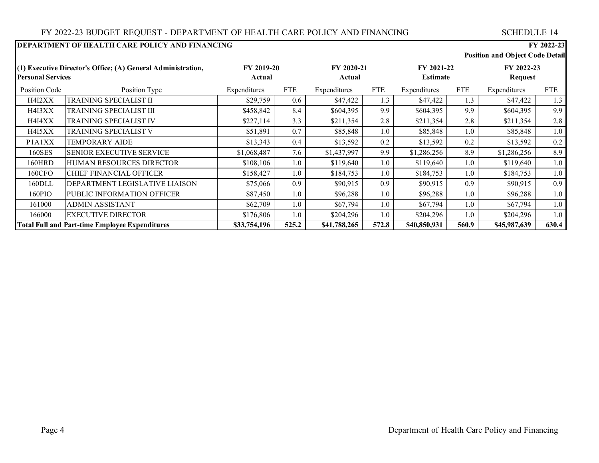#### **DEPARTMENT OF HEALTH CARE POLICY AND FINANCING FY 2022-23 Position and Object Code Detail** Position Code Position Type Expenditures FTE Expenditures FTE Expenditures FTE Expenditures FTE **(1) Executive Director's Office; (A) General Administration, Personal Services FY 2019-20 Actual FY 2020-21 Actual FY 2021-22 Estimate FY 2022-23 Request** H4I2XX TRAINING SPECIALIST II \$29,759 0.6 \$47,422 1.3 \$47,422 1.3 \$47,422 1.3 H4I3XX TRAINING SPECIALIST III \$458,842 8.4 \$604,395 9.9 \$604,395 9.9 \$604,395 9.9 H4I4XX TRAINING SPECIALIST IV \$227,114 3.3 \$211,354 2.8 \$211,354 2.8 \$211,354 2.8 H4I5XX TRAINING SPECIALIST V (51,891 0.7 \ \$85,848 1.0 \ \$85,848 1.0 \ \$85,848 1.0 \ \$85,848 1.0 \ \$85,848 1.0 P1A1XX TEMPORARY AIDE \$13,343 0.4 \$13,592 0.2 \$13,592 0.2 \$13,592 0.2 160SES SENIOR EXECUTIVE SERVICE \$1,068,487 7.6 \$1,437,997 9.9 \$1,286,256 8.9 \$1,286,256 8.9 160HRD HUMAN RESOURCES DIRECTOR \$108,106 1.0 \$119,640 1.0 \$119,640 1.0 \$119,640 1.0 160CFO CHIEF FINANCIAL OFFICER 1.0 \$158,427 | 1.0 \$184,753 | 1.0 \$184,753 | 1.0 \$184,753 1.0 \$184,753 1.0 160DLL DEPARTMENT LEGISLATIVE LIAISON | \$75,066 | 0.9 \$90,915 | \$90,915 0.9 \$90,915 0.9 \$90,915 0.9 160PIO PUBLIC INFORMATION OFFICER 1.0 \$87,450 | 1.0 \$96,288 | 1.0 \$96,288 | 1.0 \$96,288 | 1.0 161000 ADMIN ASSISTANT 562,709 1.0 \$67,794 1.0 \$67,794 1.0 \$67,794 1.0 166000 EXECUTIVE DIRECTOR \$176,806 1.0 \$204,296 1.0 \$204,296 1.0 \$204,296 1.0 **Total Full and Part-time Employee Expenditures \$33,754,196 525.2 \$41,788,265 572.8 \$40,850,931 560.9 \$45,987,639 630.4**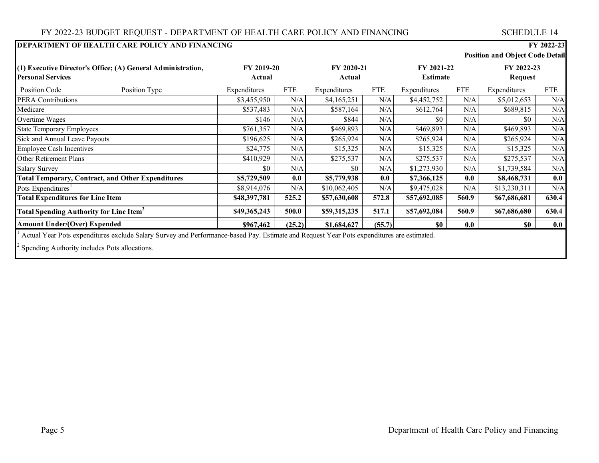# FY 2022-23 BUDGET REQUEST - DEPARTMENT OF HEALTH CARE POLICY AND FINANCING SCHEDULE 14

|                                                              | DEPARTMENT OF HEALTH CARE POLICY AND FINANCING<br>FY 2022-23                                                                              |                   |        |              |            |              |                 |                                        |            |
|--------------------------------------------------------------|-------------------------------------------------------------------------------------------------------------------------------------------|-------------------|--------|--------------|------------|--------------|-----------------|----------------------------------------|------------|
|                                                              |                                                                                                                                           |                   |        |              |            |              |                 | <b>Position and Object Code Detail</b> |            |
| (1) Executive Director's Office; (A) General Administration, |                                                                                                                                           | <b>FY 2019-20</b> |        | FY 2020-21   |            | FY 2021-22   |                 | FY 2022-23                             |            |
| <b>Personal Services</b>                                     |                                                                                                                                           | Actual            |        | Actual       |            |              | <b>Estimate</b> | Request                                |            |
| Position Code                                                | Position Type                                                                                                                             | Expenditures      | FTE    | Expenditures | <b>FTE</b> | Expenditures | <b>FTE</b>      | Expenditures                           | <b>FTE</b> |
| <b>PERA Contributions</b>                                    |                                                                                                                                           | \$3,455,950       | N/A    | \$4,165,251  | N/A        | \$4,452,752  | N/A             | \$5,012,653                            | N/A        |
| Medicare                                                     |                                                                                                                                           | \$537,483         | N/A    | \$587,164    | N/A        | \$612,764    | N/A             | \$689,815                              | N/A        |
| Overtime Wages                                               |                                                                                                                                           | \$146             | N/A    | \$844        | N/A        | \$0          | N/A             | \$0                                    | N/A        |
| <b>State Temporary Employees</b>                             |                                                                                                                                           | \$761,357         | N/A    | \$469,893    | N/A        | \$469,893    | N/A             | \$469,893                              | N/A        |
| Sick and Annual Leave Payouts                                |                                                                                                                                           | \$196,625         | N/A    | \$265,924    | N/A        | \$265,924    | N/A             | \$265,924                              | N/A        |
| <b>Employee Cash Incentives</b>                              |                                                                                                                                           | \$24,775          | N/A    | \$15,325     | N/A        | \$15,325     | N/A             | \$15,325                               | N/A        |
| Other Retirement Plans                                       |                                                                                                                                           | \$410,929         | N/A    | \$275,537    | N/A        | \$275,537    | N/A             | \$275,537                              | N/A        |
| <b>Salary Survey</b>                                         |                                                                                                                                           | \$0               | N/A    | \$0          | N/A        | \$1,273,930  | N/A             | \$1,739,584                            | N/A        |
|                                                              | <b>Total Temporary, Contract, and Other Expenditures</b>                                                                                  | \$5,729,509       | 0.0    | \$5,779,938  | 0.0        | \$7,366,125  | 0.0             | \$8,468,731                            | 0.0        |
| Pots Expenditures <sup>1</sup>                               |                                                                                                                                           | \$8,914,076       | N/A    | \$10,062,405 | N/A        | \$9,475,028  | N/A             | \$13,230,311                           | $\rm N/A$  |
| <b>Total Expenditures for Line Item</b>                      |                                                                                                                                           | \$48,397,781      | 525.2  | \$57,630,608 | 572.8      | \$57,692,085 | 560.9           | \$67,686,681                           | 630.4      |
| Total Spending Authority for Line Item <sup>2</sup>          |                                                                                                                                           | \$49,365,243      | 500.0  | \$59,315,235 | 517.1      | \$57,692,084 | 560.9           | \$67,686,680                           | 630.4      |
| <b>Amount Under/(Over) Expended</b>                          |                                                                                                                                           | \$967,462         | (25.2) | \$1,684,627  | (55.7)     | \$0          | 0.0             | \$0                                    | 0.0        |
|                                                              | Actual Year Pots expenditures exclude Salary Survey and Performance-based Pay. Estimate and Request Year Pots expenditures are estimated. |                   |        |              |            |              |                 |                                        |            |

 $2$  Spending Authority includes Pots allocations.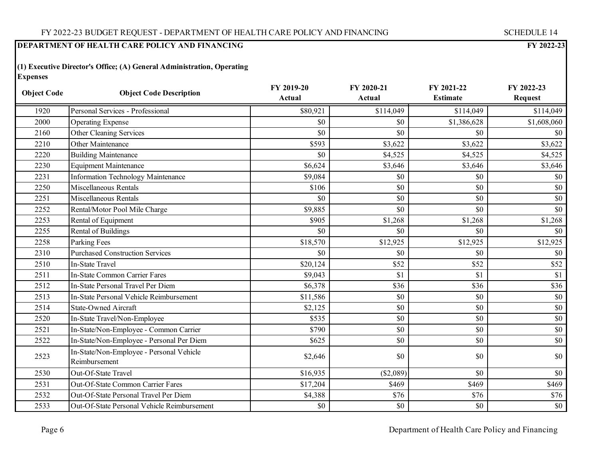**(1) Executive Director's Office; (A) General Administration, Operating Expenses**

| <b>Object Code</b> | <b>Object Code Description</b>                            | FY 2019-20<br>Actual | FY 2020-21<br>Actual | FY 2021-22<br><b>Estimate</b> | FY 2022-23<br><b>Request</b> |
|--------------------|-----------------------------------------------------------|----------------------|----------------------|-------------------------------|------------------------------|
| 1920               | Personal Services - Professional                          | \$80,921             | \$114,049            | \$114,049                     | \$114,049                    |
| 2000               | <b>Operating Expense</b>                                  | \$0                  | \$0                  | \$1,386,628                   | \$1,608,060                  |
| 2160               | Other Cleaning Services                                   | \$0                  | \$0                  | \$0                           | \$0                          |
| 2210               | Other Maintenance                                         | \$593                | \$3,622              | \$3,622                       | \$3,622                      |
| 2220               | <b>Building Maintenance</b>                               | \$0                  | \$4,525              | \$4,525                       | \$4,525                      |
| 2230               | <b>Equipment Maintenance</b>                              | \$6,624              | \$3,646              | \$3,646                       | \$3,646                      |
| 2231               | Information Technology Maintenance                        | \$9,084              | \$0                  | \$0                           | \$0                          |
| 2250               | Miscellaneous Rentals                                     | \$106                | \$0                  | \$0                           | \$0                          |
| 2251               | Miscellaneous Rentals                                     | \$0                  | \$0                  | \$0                           | \$0                          |
| 2252               | Rental/Motor Pool Mile Charge                             | \$9,885              | \$0                  | \$0                           | \$0                          |
| 2253               | Rental of Equipment                                       | \$905                | \$1,268              | \$1,268                       | \$1,268                      |
| 2255               | Rental of Buildings                                       | \$0                  | \$0                  | \$0                           | \$0                          |
| 2258               | Parking Fees                                              | \$18,570             | \$12,925             | \$12,925                      | \$12,925                     |
| 2310               | <b>Purchased Construction Services</b>                    | \$0                  | \$0                  | \$0                           | \$0                          |
| 2510               | <b>In-State Travel</b>                                    | \$20,124             | \$52                 | \$52                          | \$52                         |
| 2511               | <b>In-State Common Carrier Fares</b>                      | \$9,043              | \$1                  | \$1                           | \$1                          |
| 2512               | In-State Personal Travel Per Diem                         | \$6,378              | \$36                 | \$36                          | \$36                         |
| 2513               | In-State Personal Vehicle Reimbursement                   | \$11,586             | \$0                  | \$0                           | \$0                          |
| 2514               | <b>State-Owned Aircraft</b>                               | \$2,125              | \$0                  | \$0                           | \$0                          |
| 2520               | In-State Travel/Non-Employee                              | \$535                | \$0                  | \$0                           | \$0                          |
| 2521               | In-State/Non-Employee - Common Carrier                    | \$790                | \$0                  | \$0                           | \$0                          |
| 2522               | In-State/Non-Employee - Personal Per Diem                 | \$625                | \$0                  | \$0                           | \$0                          |
| 2523               | In-State/Non-Employee - Personal Vehicle<br>Reimbursement | \$2,646              | \$0                  | \$0                           | \$0                          |
| 2530               | Out-Of-State Travel                                       | \$16,935             | (\$2,089)            | \$0                           | \$0                          |
| 2531               | Out-Of-State Common Carrier Fares                         | \$17,204             | \$469                | \$469                         | \$469                        |
| 2532               | Out-Of-State Personal Travel Per Diem                     | \$4,388              | \$76                 | \$76                          | \$76                         |
| 2533               | Out-Of-State Personal Vehicle Reimbursement               | \$0                  | \$0                  | \$0                           | \$0                          |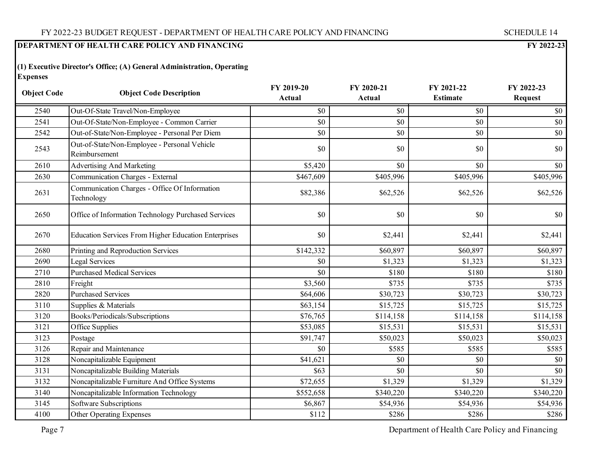**(1) Executive Director's Office; (A) General Administration, Operating Expenses**

| <b>Object Code</b> | <b>Object Code Description</b>                                | FY 2019-20 | FY 2020-21 | FY 2021-22      | FY 2022-23       |
|--------------------|---------------------------------------------------------------|------------|------------|-----------------|------------------|
|                    |                                                               | Actual     | Actual     | <b>Estimate</b> | <b>Request</b>   |
| 2540               | Out-Of-State Travel/Non-Employee                              | \$0        | \$0        | \$0             | \$0              |
| 2541               | Out-Of-State/Non-Employee - Common Carrier                    | \$0        | \$0        | \$0             | \$0              |
| 2542               | Out-of-State/Non-Employee - Personal Per Diem                 | \$0        | \$0        | \$0             | \$0              |
| 2543               | Out-of-State/Non-Employee - Personal Vehicle<br>Reimbursement | \$0        | \$0        | \$0             | \$0              |
| 2610               | <b>Advertising And Marketing</b>                              | \$5,420    | \$0        | \$0             | \$0              |
| 2630               | Communication Charges - External                              | \$467,609  | \$405,996  | \$405,996       | \$405,996        |
| 2631               | Communication Charges - Office Of Information<br>Technology   | \$82,386   | \$62,526   | \$62,526        | \$62,526         |
| 2650               | Office of Information Technology Purchased Services           | \$0        | \$0        | \$0             | \$0 <sub>1</sub> |
| 2670               | Education Services From Higher Education Enterprises          | \$0        | \$2,441    | \$2,441         | \$2,441          |
| 2680               | Printing and Reproduction Services                            | \$142,332  | \$60,897   | \$60,897        | \$60,897         |
| 2690               | Legal Services                                                | \$0        | \$1,323    | \$1,323         | \$1,323          |
| 2710               | <b>Purchased Medical Services</b>                             | \$0        | \$180      | \$180           | \$180            |
| 2810               | Freight                                                       | \$3,560    | \$735      | \$735           | \$735            |
| 2820               | <b>Purchased Services</b>                                     | \$64,606   | \$30,723   | \$30,723        | \$30,723         |
| 3110               | Supplies & Materials                                          | \$63,154   | \$15,725   | \$15,725        | \$15,725         |
| 3120               | Books/Periodicals/Subscriptions                               | \$76,765   | \$114,158  | \$114,158       | \$114,158        |
| 3121               | Office Supplies                                               | \$53,085   | \$15,531   | \$15,531        | \$15,531         |
| 3123               | Postage                                                       | \$91,747   | \$50,023   | \$50,023        | \$50,023         |
| 3126               | Repair and Maintenance                                        | \$0        | \$585      | \$585           | \$585            |
| 3128               | Noncapitalizable Equipment                                    | \$41,621   | \$0        | \$0             | \$0              |
| 3131               | Noncapitalizable Building Materials                           | \$63       | \$0        | \$0             | \$0              |
| 3132               | Noncapitalizable Furniture And Office Systems                 | \$72,655   | \$1,329    | \$1,329         | \$1,329          |
| 3140               | Noncapitalizable Information Technology                       | \$552,658  | \$340,220  | \$340,220       | \$340,220        |
| 3145               | Software Subscriptions                                        | \$6,867    | \$54,936   | \$54,936        | \$54,936         |
| 4100               | Other Operating Expenses                                      | \$112      | \$286      | \$286           | \$286            |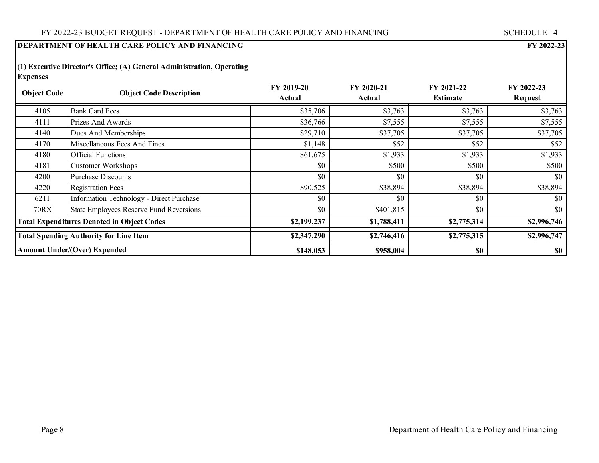**(1) Executive Director's Office; (A) General Administration, Operating Expenses**

| <b>Object Code</b>                            | <b>Object Code Description</b>                    | <b>FY 2019-20</b><br>FY 2020-21<br>Actual<br>Actual |             | FY 2021-22<br><b>Estimate</b> | FY 2022-23<br>Request |
|-----------------------------------------------|---------------------------------------------------|-----------------------------------------------------|-------------|-------------------------------|-----------------------|
| 4105                                          | <b>Bank Card Fees</b>                             | \$35,706                                            | \$3,763     | \$3,763                       | \$3,763               |
| 4111                                          | Prizes And Awards                                 | \$36,766                                            | \$7,555     | \$7,555                       | \$7,555               |
| 4140                                          | Dues And Memberships                              | \$29,710                                            | \$37,705    | \$37,705                      | \$37,705              |
| 4170                                          | Miscellaneous Fees And Fines                      | \$1,148                                             | \$52        | \$52                          | \$52                  |
| 4180                                          | <b>Official Functions</b>                         | \$61,675                                            | \$1,933     | \$1,933                       | \$1,933               |
| 4181                                          | Customer Workshops                                | \$0                                                 | \$500       | \$500                         | \$500                 |
| 4200                                          | <b>Purchase Discounts</b>                         | \$0                                                 | \$0         | \$0                           | \$0                   |
| 4220                                          | <b>Registration Fees</b>                          | \$90,525                                            | \$38,894    | \$38,894                      | \$38,894              |
| 6211                                          | Information Technology - Direct Purchase          | \$0                                                 | \$0         | \$0                           | \$0                   |
| 70RX                                          | <b>State Employees Reserve Fund Reversions</b>    | \$0                                                 | \$401,815   | \$0                           | \$0                   |
|                                               | <b>Total Expenditures Denoted in Object Codes</b> | \$2,199,237                                         | \$1,788,411 | \$2,775,314                   | \$2,996,746           |
| <b>Total Spending Authority for Line Item</b> |                                                   | \$2,347,290                                         | \$2,746,416 | \$2,775,315                   | \$2,996,747           |
|                                               | <b>Amount Under/(Over) Expended</b>               | \$148,053                                           | \$958,004   | \$0                           | \$0                   |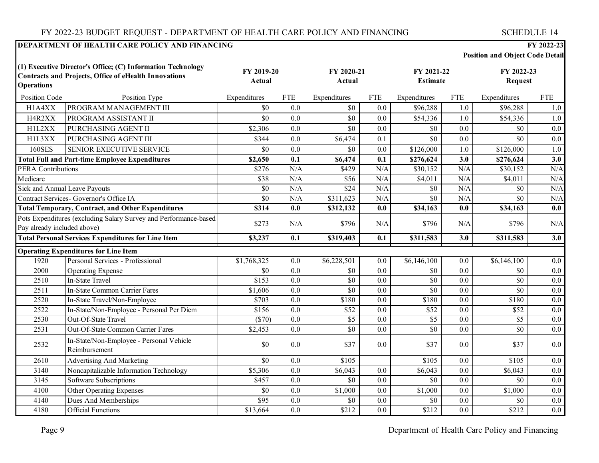# FY 2022-23 BUDGET REQUEST - DEPARTMENT OF HEALTH CARE POLICY AND FINANCING

| <b>SCHEDULE 14</b> |  |  |  |
|--------------------|--|--|--|
|                    |  |  |  |

| <b>Position and Object Code Detail</b> |
|----------------------------------------|
|----------------------------------------|

| (1) Executive Director's Office; (C) Information Technology<br><b>Contracts and Projects, Office of eHealth Innovations</b><br><b>Operations</b> |                                                                  | FY 2019-20<br>Actual |                  | FY 2020-21<br>Actual  |                  | FY 2021-22<br><b>Estimate</b> |                  | FY 2022-23<br><b>Request</b> |                  |
|--------------------------------------------------------------------------------------------------------------------------------------------------|------------------------------------------------------------------|----------------------|------------------|-----------------------|------------------|-------------------------------|------------------|------------------------------|------------------|
| Position Code                                                                                                                                    | Position Type                                                    | Expenditures         | <b>FTE</b>       | Expenditures          | <b>FTE</b>       | Expenditures                  | <b>FTE</b>       | Expenditures                 | <b>FTE</b>       |
| H1A4XX                                                                                                                                           | PROGRAM MANAGEMENT III                                           | \$0                  | 0.0              | \$0                   | 0.0              | \$96,288                      | 1.0              | \$96,288                     | 1.0              |
| H4R2XX                                                                                                                                           | PROGRAM ASSISTANT II                                             | \$0                  | 0.0              | \$0                   | 0.0              | \$54,336                      | 1.0              | \$54,336                     | 1.0              |
| H1L2XX                                                                                                                                           | PURCHASING AGENT II                                              | \$2,306              | 0.0              | \$0                   | 0.0              | \$0                           | 0.0              | \$0                          | 0.0              |
| H1L3XX                                                                                                                                           | PURCHASING AGENT III                                             | \$344                | 0.0              | \$6,474               | 0.1              | \$0                           | 0.0              | \$0                          | 0.0              |
| <b>160SES</b>                                                                                                                                    | <b>SENIOR EXECUTIVE SERVICE</b>                                  | \$0                  | 0.0              | \$0                   | 0.0              | \$126,000                     | $1.0\,$          | \$126,000                    | $1.0\,$          |
|                                                                                                                                                  | <b>Total Full and Part-time Employee Expenditures</b>            | \$2,650              | 0.1              | \$6,474               | 0.1              | \$276,624                     | $\overline{3.0}$ | \$276,624                    | $\overline{3.0}$ |
| <b>PERA Contributions</b>                                                                                                                        |                                                                  | \$276                | N/A              | \$429                 | N/A              | \$30,152                      | N/A              | \$30,152                     | N/A              |
| Medicare                                                                                                                                         |                                                                  | \$38                 | N/A              | \$56                  | N/A              | \$4,011                       | N/A              | \$4,011                      | N/A              |
| <b>Sick and Annual Leave Payouts</b>                                                                                                             |                                                                  | $\overline{50}$      | N/A              | \$24                  | N/A              | $\overline{50}$               | N/A              | $\overline{50}$              | N/A              |
| Contract Services- Governor's Office IA                                                                                                          |                                                                  | \$0                  | N/A              | $\overline{$}311,623$ | N/A              | \$0                           | N/A              | \$0                          | N/A              |
| <b>Total Temporary, Contract, and Other Expenditures</b>                                                                                         |                                                                  | \$314                | 0.0              | \$312,132             | 0.0              | \$34,163                      | 0.0              | \$34,163                     | $\overline{0.0}$ |
| Pay already included above)                                                                                                                      | Pots Expenditures (excluding Salary Survey and Performance-based | \$273                | N/A              | \$796                 | N/A              | \$796                         | N/A              | \$796                        | N/A              |
|                                                                                                                                                  | <b>Total Personal Services Expenditures for Line Item</b>        | \$3,237              | 0.1              | \$319,403             | 0.1              | \$311,583                     | 3.0              | \$311,583                    | 3.0              |
|                                                                                                                                                  | <b>Operating Expenditures for Line Item</b>                      |                      |                  |                       |                  |                               |                  |                              |                  |
| 1920                                                                                                                                             | Personal Services - Professional                                 | \$1,768,325          | 0.0              | \$6,228,501           | 0.0              | \$6,146,100                   | 0.0              | \$6,146,100                  | 0.0              |
| 2000                                                                                                                                             | <b>Operating Expense</b>                                         | \$0                  | 0.0              | \$0                   | 0.0              | \$0                           | 0.0              | \$0                          | 0.0              |
| 2510                                                                                                                                             | <b>In-State Travel</b>                                           | \$153                | $\overline{0.0}$ | \$0                   | $\overline{0.0}$ | \$0                           | $\overline{0.0}$ | $\overline{50}$              | 0.0              |
| 2511                                                                                                                                             | In-State Common Carrier Fares                                    | \$1,606              | $\overline{0.0}$ | \$0                   | $\overline{0.0}$ | \$0                           | $\overline{0.0}$ | \$0                          | $\overline{0.0}$ |
| 2520                                                                                                                                             | In-State Travel/Non-Employee                                     | \$703                | 0.0              | \$180                 | 0.0              | \$180                         | 0.0              | \$180                        | $\overline{0.0}$ |
| 2522                                                                                                                                             | In-State/Non-Employee - Personal Per Diem                        | \$156                | 0.0              | \$52                  | 0.0              | \$52                          | 0.0              | \$52                         | 0.0              |
| 2530                                                                                                                                             | Out-Of-State Travel                                              | $($ \$70)            | $\overline{0.0}$ | $\overline{\$5}$      | 0.0              | $\overline{\$5}$              | 0.0              | $\overline{\$5}$             | $\overline{0.0}$ |
| 2531                                                                                                                                             | Out-Of-State Common Carrier Fares                                | \$2,453              | 0.0              | \$0                   | 0.0              | \$0                           | 0.0              | \$0                          | 0.0              |
| 2532                                                                                                                                             | In-State/Non-Employee - Personal Vehicle<br>Reimbursement        | \$0                  | 0.0              | \$37                  | 0.0              | \$37                          | 0.0              | \$37                         | 0.0              |
| 2610                                                                                                                                             | Advertising And Marketing                                        | \$0                  | 0.0              | \$105                 |                  | \$105                         | 0.0              | \$105                        | 0.0              |
| 3140                                                                                                                                             | Noncapitalizable Information Technology                          | \$5,306              | 0.0              | \$6,043               | 0.0              | \$6,043                       | 0.0              | \$6,043                      | 0.0              |
| 3145                                                                                                                                             | Software Subscriptions                                           | \$457                | 0.0              | $\overline{50}$       | 0.0              | $\overline{50}$               | 0.0              | \$0                          | $\overline{0.0}$ |
| 4100                                                                                                                                             | Other Operating Expenses                                         | \$0                  | 0.0              | \$1,000               | 0.0              | \$1,000                       | 0.0              | \$1,000                      | 0.0              |
| 4140                                                                                                                                             | Dues And Memberships                                             | $\overline{$95}$     | 0.0              | \$0                   | 0.0              | \$0                           | 0.0              | \$0                          | $0.0\,$          |
| 4180                                                                                                                                             | <b>Official Functions</b>                                        | \$13,664             | 0.0              | \$212                 | 0.0              | \$212                         | 0.0              | \$212                        | $0.0\,$          |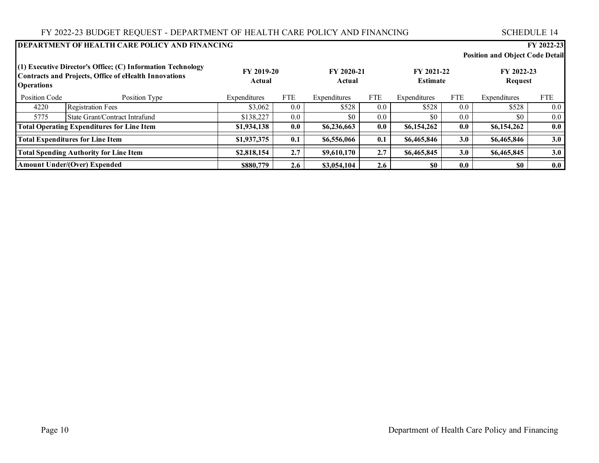#### **DEPARTMENT OF HEALTH CARE POLICY AND FINANCING FY 2022-23 Position and Object Code Detail** Position Code Position Type Expenditures FTE Expenditures FTE Expenditures FTE Expenditures FTE **(1) Executive Director's Office; (C) Information Technology Contracts and Projects, Office of eHealth Innovations Operations FY 2020-21 Actual FY 2022-23 Request FY 2019-20 Actual FY 2021-22 Estimate** 4220 Registration Fees \$3,062 0.0 \$528 0.0 \$528 0.0 \$528 0.0 5775 State Grant/Contract Intrafund \$138,227 0.0 \$0 0.0 \$0 0.0 \$0 0.0 \$0 0.0 \$0 0.0 **\$1,934,138 0.0 \$6,236,663 0.0 \$6,154,262 0.0 \$6,154,262 0.0 \$1,937,375 0.1 \$6,556,066 0.1 \$6,465,846 3.0 \$6,465,846 3.0 \$2,818,154 2.7 \$9,610,170 2.7 \$6,465,845 3.0 \$6,465,845 3.0 \$880,779 1 2.6 1 \$3,054,104 1 2.6 1 0.0 1 1 0.0 1 1 0.0 1 1 0.0 Total Spending Authority for Line Item Amount Under/(Over) Expended Total Operating Expenditures for Line Item Total Expenditures for Line Item**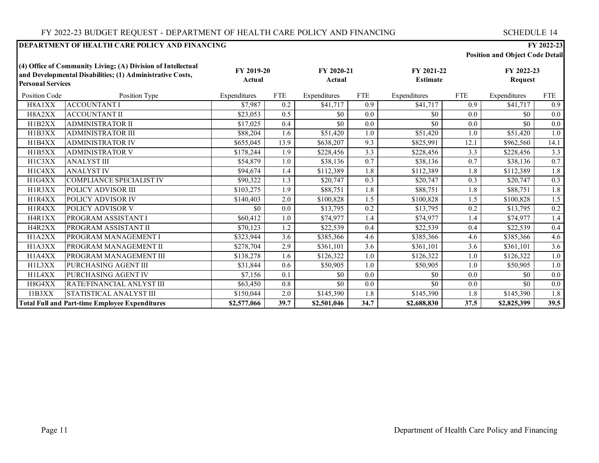| <b>Position and Object Code Detail</b> |  |  |  |  |  |
|----------------------------------------|--|--|--|--|--|
|----------------------------------------|--|--|--|--|--|

| <b>Personal Services</b> | (4) Office of Community Living; (A) Division of Intellectual<br>and Developmental Disabilities; (1) Administrative Costs, | FY 2019-20<br>Actual    |      | FY 2020-21<br>Actual |            | FY 2021-22<br><b>Estimate</b> |                   | FY 2022-23<br><b>Request</b> |            |
|--------------------------|---------------------------------------------------------------------------------------------------------------------------|-------------------------|------|----------------------|------------|-------------------------------|-------------------|------------------------------|------------|
| Position Code            | Position Type                                                                                                             | Expenditures            | FTE  | Expenditures         | <b>FTE</b> | Expenditures                  | <b>FTE</b>        | Expenditures                 | <b>FTE</b> |
| H8A1XX                   | <b>ACCOUNTANT I</b>                                                                                                       | \$7,987                 | 0.2  | \$41,717             | 0.9        | \$41,717                      | 0.9               | \$41,717                     | 0.9        |
| H8A2XX                   | <b>ACCOUNTANT II</b>                                                                                                      | \$23,053                | 0.5  | \$0                  | 0.0        | \$0                           | 0.0               | \$0                          | 0.0        |
| H1B2XX                   | <b>ADMINISTRATOR II</b>                                                                                                   | \$17,025                | 0.4  | \$0                  | 0.0        | \$0                           | 0.0               | \$0                          | 0.0        |
| H1B3XX                   | <b>ADMINISTRATOR III</b>                                                                                                  | \$88,204                | 1.6  | \$51,420             | 1.0        | \$51,420                      | 1.0               | \$51,420                     | 1.0        |
| H1B4XX                   | <b>ADMINISTRATOR IV</b>                                                                                                   | \$655,045               | 13.9 | \$638,207            | 9.3        | \$825,991                     | 12.1              | \$962,560                    | 14.1       |
| H1B5XX                   | <b>ADMINISTRATOR V</b>                                                                                                    | \$178,244               | 1.9  | \$228,456            | 3.3        | \$228,456                     | 3.3               | \$228,456                    | 3.3        |
| H1C3XX                   | <b>ANALYST III</b>                                                                                                        | \$54,879                | 1.0  | \$38,136             | 0.7        | \$38,136                      | 0.7               | \$38,136                     | 0.7        |
| H1C4XX                   | <b>ANALYST IV</b>                                                                                                         | \$94,674                | 1.4  | \$112,389            | 1.8        | \$112,389                     | 1.8               | \$112,389                    | 1.8        |
| H1G4XX                   | <b>COMPLIANCE SPECIALIST IV</b>                                                                                           | \$90,322                | 1.3  | \$20,747             | 0.3        | \$20,747                      | 0.3               | \$20,747                     | 0.3        |
| H1R3XX                   | POLICY ADVISOR III                                                                                                        | \$103,275               | 1.9  | \$88,751             | 1.8        | \$88,751                      | 1.8               | \$88,751                     | 1.8        |
| H1R4XX                   | POLICY ADVISOR IV                                                                                                         | \$140,403               | 2.0  | \$100,828            | 1.5        | \$100,828                     | 1.5               | \$100,828                    | 1.5        |
| H1R4XX                   | POLICY ADVISOR V                                                                                                          | \$0                     | 0.0  | \$13,795             | 0.2        | \$13,795                      | 0.2               | \$13,795                     | 0.2        |
| H4R1XX                   | PROGRAM ASSISTANT I                                                                                                       | \$60,412                | 1.0  | \$74,977             | 1.4        | \$74,977                      | 1.4               | \$74,977                     | 1.4        |
| H4R2XX                   | PROGRAM ASSISTANT II                                                                                                      | \$70,123                | 1.2  | \$22,539             | 0.4        | \$22,539                      | 0.4               | \$22,539                     | 0.4        |
| H1A2XX                   | PROGRAM MANAGEMENT I                                                                                                      | \$323,944               | 3.6  | \$385,366            | 4.6        | \$385,366                     | 4.6               | \$385,366                    | 4.6        |
| H1A3XX                   | PROGRAM MANAGEMENT II                                                                                                     | \$278,704               | 2.9  | \$361,101            | 3.6        | \$361,101                     | 3.6               | \$361,101                    | 3.6        |
| H1A4XX                   | PROGRAM MANAGEMENT III                                                                                                    | \$138,278               | 1.6  | \$126,322            | 1.0        | \$126,322                     | 1.0               | \$126,322                    | 1.0        |
| H1L3XX                   | PURCHASING AGENT III                                                                                                      | \$31,844                | 0.6  | \$50,905             | 1.0        | \$50,905                      | 1.0               | \$50,905                     | 1.0        |
| H1L4XX                   | PURCHASING AGENT IV                                                                                                       | \$7,156                 | 0.1  | \$0                  | 0.0        | \$0                           | 0.0               | \$0                          | 0.0        |
| H8G4XX                   | RATE/FINANCIAL ANLYST III                                                                                                 | \$63,450                | 0.8  | \$0                  | 0.0        | \$0                           | 0.0               | \$0                          | 0.0        |
| I1B3XX                   | STATISTICAL ANALYST III                                                                                                   | \$150,044               | 2.0  | \$145,390            | 1.8        | \$145,390                     | 1.8               | \$145,390                    | 1.8        |
|                          | <b>Total Full and Part-time Employee Expenditures</b>                                                                     | $\overline{82,577,066}$ | 39.7 | \$2,501,046          | 34.7       | \$2,688,830                   | $\overline{37.5}$ | \$2,825,399                  | 39.5       |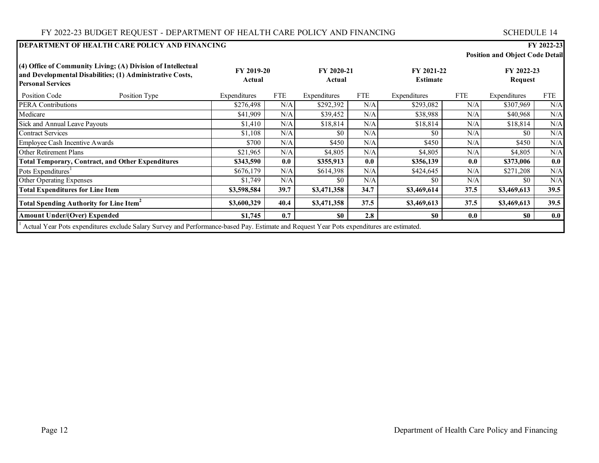| <b>Position and Object Code Detail</b> |
|----------------------------------------|
|                                        |

| (4) Office of Community Living; (A) Division of Intellectual<br>and Developmental Disabilities; (1) Administrative Costs,<br><b>Personal Services</b> |                                                                                                                                           | FY 2019-20<br>Actual |            | FY 2020-21<br>Actual |            | FY 2021-22<br><b>Estimate</b> |            | FY 2022-23<br>Request |            |
|-------------------------------------------------------------------------------------------------------------------------------------------------------|-------------------------------------------------------------------------------------------------------------------------------------------|----------------------|------------|----------------------|------------|-------------------------------|------------|-----------------------|------------|
| Position Code                                                                                                                                         | Position Type                                                                                                                             | Expenditures         | <b>FTE</b> | Expenditures         | <b>FTE</b> | Expenditures                  | <b>FTE</b> | Expenditures          | <b>FTE</b> |
| <b>PERA Contributions</b>                                                                                                                             |                                                                                                                                           | \$276,498            | N/A        | \$292,392            | N/A        | \$293,082                     | N/A        | \$307,969             | N/A        |
| Medicare                                                                                                                                              |                                                                                                                                           | \$41,909             | N/A        | \$39,452             | N/A        | \$38,988                      | N/A        | \$40,968              | N/A        |
| Sick and Annual Leave Payouts                                                                                                                         |                                                                                                                                           | \$1,410              | N/A        | \$18,814             | N/A        | \$18,814                      | N/A        | \$18,814              | N/A        |
| <b>Contract Services</b>                                                                                                                              |                                                                                                                                           | \$1,108              | N/A        | \$0                  | N/A        | SO.                           | N/A        | \$0                   | N/A        |
| Employee Cash Incentive Awards                                                                                                                        |                                                                                                                                           | \$700                | N/A        | \$450                | N/A        | \$450                         | N/A        | \$450                 | N/A        |
| <b>Other Retirement Plans</b>                                                                                                                         |                                                                                                                                           | \$21,965             | N/A        | \$4,805              | N/A        | \$4,805                       | N/A        | \$4,805               | N/A        |
|                                                                                                                                                       | <b>Total Temporary, Contract, and Other Expenditures</b>                                                                                  | \$343,590            | 0.0        | \$355,913            | 0.0        | \$356,139                     | 0.0        | \$373,006             | 0.0        |
| Pots Expenditures <sup>1</sup>                                                                                                                        |                                                                                                                                           | \$676,179            | N/A        | \$614,398            | N/A        | \$424,645                     | N/A        | \$271,208             | N/A        |
| Other Operating Expenses                                                                                                                              |                                                                                                                                           | \$1,749              | N/A        | \$0                  | N/A        | \$0                           | N/A        | \$0                   | N/A        |
| <b>Total Expenditures for Line Item</b>                                                                                                               |                                                                                                                                           | \$3,598,584          | 39.7       | \$3,471,358          | 34.7       | \$3,469,614                   | 37.5       | \$3,469,613           | 39.5       |
| <b>Total Spending Authority for Line Item<sup>2</sup></b>                                                                                             |                                                                                                                                           | \$3,600,329          | 40.4       | \$3,471,358          | 37.5       | \$3,469,613                   | 37.5       | \$3,469,613           | 39.5       |
| <b>Amount Under/(Over) Expended</b>                                                                                                                   |                                                                                                                                           | \$1,745              | 0.7        | S <sub>0</sub>       | 2.8        | SO.                           | 0.0        | \$0                   | 0.0        |
|                                                                                                                                                       | Actual Year Pots expenditures exclude Salary Survey and Performance-based Pay. Estimate and Request Year Pots expenditures are estimated. |                      |            |                      |            |                               |            |                       |            |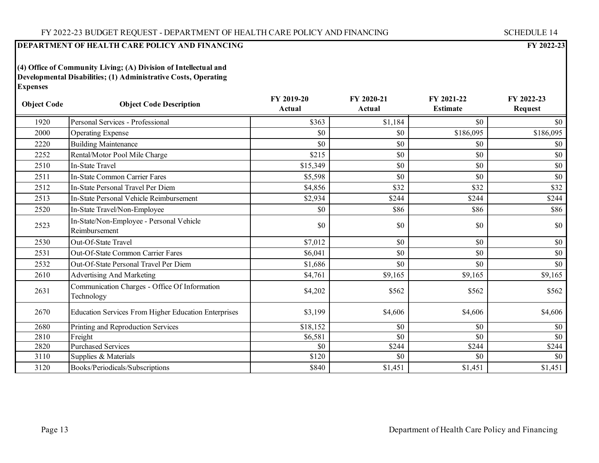**(4) Office of Community Living; (A) Division of Intellectual and Developmental Disabilities; (1) Administrative Costs, Operating Expenses**

| <b>Object Code</b> | <b>Object Code Description</b>                              | FY 2019-20<br>Actual | FY 2020-21<br>Actual | FY 2021-22<br><b>Estimate</b> | FY 2022-23<br><b>Request</b> |
|--------------------|-------------------------------------------------------------|----------------------|----------------------|-------------------------------|------------------------------|
| 1920               | Personal Services - Professional                            | \$363                | \$1,184              | \$0                           | \$0                          |
| 2000               | <b>Operating Expense</b>                                    | \$0                  | \$0                  | \$186,095                     | \$186,095                    |
| 2220               | <b>Building Maintenance</b>                                 | \$0                  | \$0                  | \$0                           | \$0                          |
| 2252               | Rental/Motor Pool Mile Charge                               | \$215                | \$0                  | \$0                           | \$0                          |
| 2510               | <b>In-State Travel</b>                                      | \$15,349             | \$0                  | \$0                           | \$0                          |
| 2511               | In-State Common Carrier Fares                               | \$5,598              | \$0                  | \$0                           | \$0                          |
| 2512               | In-State Personal Travel Per Diem                           | \$4,856              | \$32                 | \$32                          | \$32                         |
| 2513               | In-State Personal Vehicle Reimbursement                     | \$2,934              | \$244                | \$244                         | \$244                        |
| 2520               | In-State Travel/Non-Employee                                | \$0                  | \$86                 | \$86                          | \$86                         |
| 2523               | In-State/Non-Employee - Personal Vehicle<br>Reimbursement   | \$0                  | \$0                  | \$0                           | \$0                          |
| 2530               | Out-Of-State Travel                                         | \$7,012              | \$0                  | \$0                           | \$0                          |
| 2531               | <b>Out-Of-State Common Carrier Fares</b>                    | \$6,041              | \$0                  | \$0                           | \$0                          |
| 2532               | Out-Of-State Personal Travel Per Diem                       | \$1,686              | \$0                  | \$0                           | \$0                          |
| 2610               | <b>Advertising And Marketing</b>                            | \$4,761              | \$9,165              | \$9,165                       | \$9,165                      |
| 2631               | Communication Charges - Office Of Information<br>Technology | \$4,202              | \$562                | \$562                         | \$562                        |
| 2670               | <b>Education Services From Higher Education Enterprises</b> | \$3,199              | \$4,606              | \$4,606                       | \$4,606                      |
| 2680               | Printing and Reproduction Services                          | \$18,152             | \$0                  | \$0                           | \$0                          |
| 2810               | Freight                                                     | \$6,581              | \$0                  | \$0                           | \$0                          |
| 2820               | <b>Purchased Services</b>                                   | \$0                  | \$244                | \$244                         | \$244                        |
| 3110               | Supplies & Materials                                        | \$120                | \$0                  | \$0                           | \$0                          |
| 3120               | Books/Periodicals/Subscriptions                             | \$840                | \$1,451              | \$1,451                       | \$1,451                      |